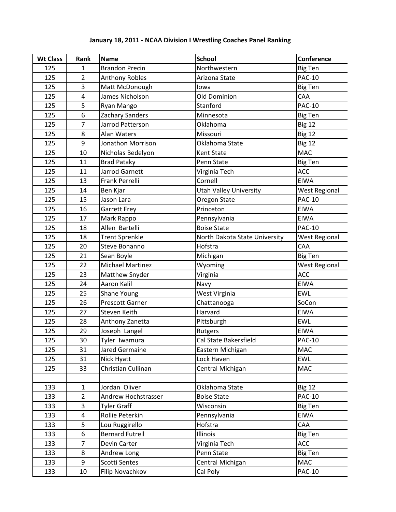## **Wt Class Rank Name School Conference**  $\overline{125}$  $\overline{1}$ **Brandon Precin** Northwestern **Big Ten** 125  $\overline{2}$ **Anthony Robles** Arizona State **PAC-10** 125 3 Matt McDonough lowa Big Ten 125  $\overline{4}$ Old Dominion James Nicholson CAA Stanford **PAC-10** 125 5 Ryan Mango 125 6 Zachary Sanders Minnesota Big Ten 125 Oklahoma  $\overline{7}$ Jarrod Patterson **Big 12** 125 8 Alan Waters Missouri **Big 12**  $\frac{1}{125}$ 9 Jonathon Morrison Oklahoma State **Big 12** 125 10 Nicholas Bedelyon Kent State MAC 125 11 **Brad Pataky** Penn State Big Ten 125 11 Jarrod Garnett Virginia Tech **ACC** 125 13 **Frank Perrelli** Cornell **EIWA** 125 14 **Ben Kjar Utah Valley University West Regional** 125 Jason Lara 15 Oregon State **PAC-10** 125 16 **Garrett Frey** Princeton **EIWA**  $\frac{1}{125}$ 17 Mark Rappo Pennsylvania **EIWA** 125 18 Allen Bartelli **Boise State PAC-10** 125 18 **Trent Sprenkle** North Dakota State University **West Regional** 125 20 Steve Bonanno Hofstra CAA 125 21 Big Ten Sean Boyle Michigan 125 22 Wyoming **West Regional Michael Martinez** 125 23 Matthew Snyder **ACC** Virginia 125 24 **EIWA** Aaron Kalil Navy 125 West Virginia EWL 25 **Shane Young** 125 26 SoCon **Prescott Garner** Chattanooga 125 27 Steven Keith Harvard **EIWA** 125 28 Anthony Zanetta Pittsburgh **EWL**  $125$ 29 EIWA Joseph Langel **Rutgers** 125 30 Tyler Iwamura Cal State Bakersfield **PAC-10** 125 31 Jared Germaine Eastern Michigan **MAC** 125 31 Nick Hyatt Lock Haven EWL 125 Christian Cullinan **MAC** 33 Central Michigan 133  $\mathbf{1}$ Jordan Oliver Oklahoma State **Big 12** 133  $\overline{2}$ Andrew Hochstrasser **PAC-10 Boise State**  $\overline{3}$ 133 **Tyler Graff Big Ten** Wisconsin 133  $\overline{4}$ **EIWA** Rollie Peterkin Pennsylvania 133 5 Lou Ruggirello Hofstra CAA 133 6 **Bernard Futrell** Illinois **Big Ten** 133 7 Devin Carter Virginia Tech ACC 133 8 Andrew Long Penn State Big Ten 133 9 **MAC** Scotti Sentes Central Michigan

Cal Poly

**PAC-10** 

133

10

Filip Novachkov

## January 18, 2011 - NCAA Division I Wrestling Coaches Panel Ranking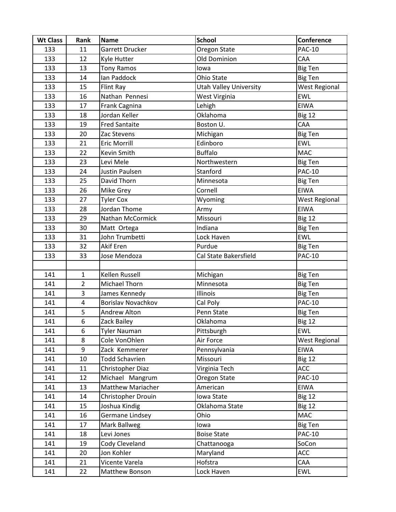| <b>Wt Class</b> | Rank           | <b>Name</b>               | <b>School</b>                 | Conference           |
|-----------------|----------------|---------------------------|-------------------------------|----------------------|
| 133             | 11             | Garrett Drucker           | Oregon State                  | <b>PAC-10</b>        |
| 133             | 12             | Kyle Hutter               | <b>Old Dominion</b>           | CAA                  |
| 133             | 13             | <b>Tony Ramos</b>         | lowa                          | <b>Big Ten</b>       |
| 133             | 14             | lan Paddock               | Ohio State                    | <b>Big Ten</b>       |
| 133             | 15             | Flint Ray                 | <b>Utah Valley University</b> | <b>West Regional</b> |
| 133             | 16             | Nathan Pennesi            | West Virginia                 | <b>EWL</b>           |
| 133             | 17             | Frank Cagnina             | Lehigh                        | <b>EIWA</b>          |
| 133             | 18             | Jordan Keller             | Oklahoma                      | <b>Big 12</b>        |
| 133             | 19             | <b>Fred Santaite</b>      | Boston U.                     | CAA                  |
| 133             | 20             | Zac Stevens               | Michigan                      | <b>Big Ten</b>       |
| 133             | 21             | <b>Eric Morrill</b>       | Edinboro                      | <b>EWL</b>           |
| 133             | 22             | Kevin Smith               | <b>Buffalo</b>                | <b>MAC</b>           |
| 133             | 23             | Levi Mele                 | Northwestern                  | <b>Big Ten</b>       |
| 133             | 24             | Justin Paulsen            | Stanford                      | <b>PAC-10</b>        |
| 133             | 25             | David Thorn               | Minnesota                     | <b>Big Ten</b>       |
| 133             | 26             | Mike Grey                 | Cornell                       | <b>EIWA</b>          |
| 133             | 27             | <b>Tyler Cox</b>          | Wyoming                       | <b>West Regional</b> |
| 133             | 28             | Jordan Thome              | Army                          | <b>EIWA</b>          |
| 133             | 29             | Nathan McCormick          | Missouri                      | <b>Big 12</b>        |
| 133             | 30             | Matt Ortega               | Indiana                       | <b>Big Ten</b>       |
| 133             | 31             | John Trumbetti            | Lock Haven                    | <b>EWL</b>           |
| 133             | 32             | <b>Akif Eren</b>          | Purdue                        | <b>Big Ten</b>       |
| 133             | 33             | Jose Mendoza              | Cal State Bakersfield         | <b>PAC-10</b>        |
|                 |                |                           |                               |                      |
| 141             | $\mathbf{1}$   | Kellen Russell            | Michigan                      | <b>Big Ten</b>       |
| 141             | $\overline{2}$ | Michael Thorn             | Minnesota                     | <b>Big Ten</b>       |
| 141             | 3              | James Kennedy             | Illinois                      | <b>Big Ten</b>       |
| 141             | 4              | <b>Borislav Novachkov</b> | Cal Poly                      | <b>PAC-10</b>        |
| 141             | 5              | Andrew Alton              | Penn State                    | <b>Big Ten</b>       |
| 141             | 6              | Zack Bailey               | Oklahoma                      | <b>Big 12</b>        |
| 141             | 6              | <b>Tyler Nauman</b>       | Pittsburgh                    | <b>EWL</b>           |
| 141             | 8              | Cole VonOhlen             | Air Force                     | <b>West Regional</b> |
| 141             | 9              | Zack Kemmerer             | Pennsylvania                  | <b>EIWA</b>          |
| 141             | 10             | <b>Todd Schavrien</b>     | Missouri                      | <b>Big 12</b>        |
| 141             | 11             | Christopher Diaz          | Virginia Tech                 | ACC                  |
| 141             | 12             | Michael Mangrum           | Oregon State                  | <b>PAC-10</b>        |
| 141             | 13             | <b>Matthew Mariacher</b>  | American                      | EIWA                 |
| 141             | 14             | Christopher Drouin        | Iowa State                    | <b>Big 12</b>        |
| 141             | 15             | Joshua Kindig             | Oklahoma State                | <b>Big 12</b>        |
| 141             | 16             | Germane Lindsey           | Ohio                          | MAC                  |
| 141             | 17             | Mark Ballweg              | lowa                          | <b>Big Ten</b>       |
| 141             | 18             | Levi Jones                | <b>Boise State</b>            | <b>PAC-10</b>        |
| 141             | 19             | Cody Cleveland            | Chattanooga                   | SoCon                |
| 141             | 20             | Jon Kohler                | Maryland                      | ACC                  |
| 141             | 21             | Vicente Varela            | Hofstra                       | CAA                  |
| 141             | 22             | Matthew Bonson            | Lock Haven                    | <b>EWL</b>           |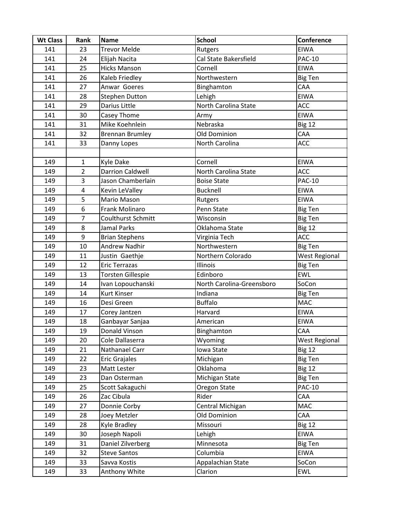| <b>Wt Class</b> | Rank                    | <b>Name</b>               | <b>School</b>             | Conference           |
|-----------------|-------------------------|---------------------------|---------------------------|----------------------|
| 141             | 23                      | <b>Trevor Melde</b>       | Rutgers                   | <b>EIWA</b>          |
| 141             | 24                      | Elijah Nacita             | Cal State Bakersfield     | <b>PAC-10</b>        |
| 141             | 25                      | <b>Hicks Manson</b>       | Cornell                   | <b>EIWA</b>          |
| 141             | 26                      | Kaleb Friedley            | Northwestern              | <b>Big Ten</b>       |
| 141             | 27                      | Anwar Goeres              | Binghamton                | CAA                  |
| 141             | 28                      | <b>Stephen Dutton</b>     | Lehigh                    | <b>EIWA</b>          |
| 141             | 29                      | <b>Darius Little</b>      | North Carolina State      | <b>ACC</b>           |
| 141             | 30                      | Casey Thome               | Army                      | EIWA                 |
| 141             | 31                      | Mike Koehnlein            | Nebraska                  | <b>Big 12</b>        |
| 141             | 32                      | <b>Brennan Brumley</b>    | Old Dominion              | CAA                  |
| 141             | 33                      | Danny Lopes               | North Carolina            | ACC                  |
|                 |                         |                           |                           |                      |
| 149             | $\mathbf{1}$            | Kyle Dake                 | Cornell                   | <b>EIWA</b>          |
| 149             | $\overline{2}$          | <b>Darrion Caldwell</b>   | North Carolina State      | <b>ACC</b>           |
| 149             | 3                       | Jason Chamberlain         | <b>Boise State</b>        | <b>PAC-10</b>        |
| 149             | $\overline{\mathbf{4}}$ | Kevin LeValley            | <b>Bucknell</b>           | <b>EIWA</b>          |
| 149             | 5                       | Mario Mason               | Rutgers                   | <b>EIWA</b>          |
| 149             | 6                       | <b>Frank Molinaro</b>     | Penn State                | <b>Big Ten</b>       |
| 149             | $\overline{7}$          | <b>Coulthurst Schmitt</b> | Wisconsin                 | <b>Big Ten</b>       |
| 149             | 8                       | Jamal Parks               | Oklahoma State            | <b>Big 12</b>        |
| 149             | 9                       | <b>Brian Stephens</b>     | Virginia Tech             | <b>ACC</b>           |
| 149             | 10                      | <b>Andrew Nadhir</b>      | Northwestern              | <b>Big Ten</b>       |
| 149             | 11                      | Justin Gaethje            | Northern Colorado         | West Regional        |
| 149             | 12                      | <b>Eric Terrazas</b>      | Illinois                  | <b>Big Ten</b>       |
| 149             | 13                      | <b>Torsten Gillespie</b>  | Edinboro                  | <b>EWL</b>           |
| 149             | 14                      | Ivan Lopouchanski         | North Carolina-Greensboro | SoCon                |
| 149             | 14                      | <b>Kurt Kinser</b>        | Indiana                   | <b>Big Ten</b>       |
| 149             | 16                      | Desi Green                | <b>Buffalo</b>            | <b>MAC</b>           |
| 149             | 17                      | Corey Jantzen             | Harvard                   | <b>EIWA</b>          |
| 149             | 18                      | Ganbayar Sanjaa           | American                  | <b>EIWA</b>          |
| 149             | 19                      | Donald Vinson             | Binghamton                | CAA                  |
| 149             | 20                      | Cole Dallaserra           | Wyoming                   | <b>West Regional</b> |
| 149             | 21                      | Nathanael Carr            | Iowa State                | <b>Big 12</b>        |
| 149             | 22                      | <b>Eric Grajales</b>      | Michigan                  | <b>Big Ten</b>       |
| 149             | 23                      | Matt Lester               | Oklahoma                  | <b>Big 12</b>        |
| 149             | 23                      | Dan Osterman              | Michigan State            | <b>Big Ten</b>       |
| 149             | 25                      | Scott Sakaguchi           | Oregon State              | <b>PAC-10</b>        |
| 149             | 26                      | Zac Cibula                | Rider                     | CAA                  |
| 149             | 27                      | Donnie Corby              | Central Michigan          | <b>MAC</b>           |
| 149             | 28                      | Joey Metzler              | Old Dominion              | CAA                  |
| 149             | 28                      | Kyle Bradley              | Missouri                  | <b>Big 12</b>        |
| 149             | 30                      | Joseph Napoli             | Lehigh                    | <b>EIWA</b>          |
| 149             | 31                      | Daniel Zilverberg         | Minnesota                 | <b>Big Ten</b>       |
| 149             | 32                      | <b>Steve Santos</b>       | Columbia                  | <b>EIWA</b>          |
| 149             | 33                      | Savva Kostis              | Appalachian State         | SoCon                |
| 149             | 33                      | Anthony White             | Clarion                   | <b>EWL</b>           |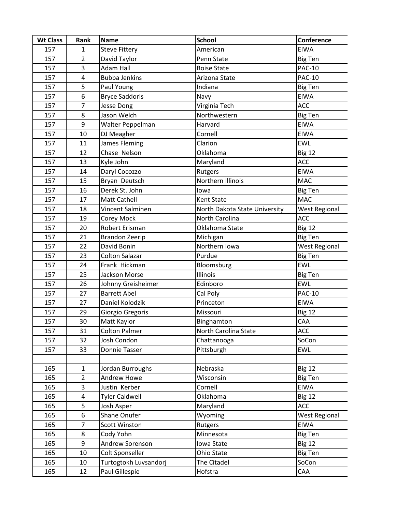| <b>Wt Class</b> | Rank                    | <b>Name</b>           | <b>School</b>                 | Conference           |
|-----------------|-------------------------|-----------------------|-------------------------------|----------------------|
| 157             | $\mathbf{1}$            | <b>Steve Fittery</b>  | American                      | <b>EIWA</b>          |
| 157             | $\overline{2}$          | David Taylor          | Penn State                    | <b>Big Ten</b>       |
| 157             | 3                       | <b>Adam Hall</b>      | <b>Boise State</b>            | <b>PAC-10</b>        |
| 157             | $\overline{\mathbf{4}}$ | <b>Bubba Jenkins</b>  | Arizona State                 | <b>PAC-10</b>        |
| 157             | 5                       | Paul Young            | Indiana                       | <b>Big Ten</b>       |
| 157             | 6                       | <b>Bryce Saddoris</b> | Navy                          | <b>EIWA</b>          |
| 157             | $\overline{7}$          | <b>Jesse Dong</b>     | Virginia Tech                 | ACC                  |
| 157             | 8                       | Jason Welch           | Northwestern                  | <b>Big Ten</b>       |
| 157             | 9                       | Walter Peppelman      | Harvard                       | <b>EIWA</b>          |
| 157             | 10                      | DJ Meagher            | Cornell                       | <b>EIWA</b>          |
| 157             | 11                      | James Fleming         | Clarion                       | <b>EWL</b>           |
| 157             | 12                      | Chase Nelson          | Oklahoma                      | <b>Big 12</b>        |
| 157             | 13                      | Kyle John             | Maryland                      | ACC                  |
| 157             | 14                      | Daryl Cocozzo         | Rutgers                       | <b>EIWA</b>          |
| 157             | 15                      | Bryan Deutsch         | Northern Illinois             | <b>MAC</b>           |
| 157             | 16                      | Derek St. John        | lowa                          | <b>Big Ten</b>       |
| 157             | 17                      | <b>Matt Cathell</b>   | Kent State                    | <b>MAC</b>           |
| 157             | 18                      | Vincent Salminen      | North Dakota State University | <b>West Regional</b> |
| 157             | 19                      | Corey Mock            | North Carolina                | ACC                  |
| 157             | 20                      | Robert Erisman        | Oklahoma State                | <b>Big 12</b>        |
| 157             | 21                      | <b>Brandon Zeerip</b> | Michigan                      | <b>Big Ten</b>       |
| 157             | 22                      | David Bonin           | Northern Iowa                 | <b>West Regional</b> |
| 157             | 23                      | <b>Colton Salazar</b> | Purdue                        | <b>Big Ten</b>       |
| 157             | 24                      | Frank Hickman         | Bloomsburg                    | <b>EWL</b>           |
| 157             | 25                      | Jackson Morse         | Illinois                      | <b>Big Ten</b>       |
| 157             | 26                      | Johnny Greisheimer    | Edinboro                      | <b>EWL</b>           |
| 157             | 27                      | <b>Barrett Abel</b>   | Cal Poly                      | <b>PAC-10</b>        |
| 157             | 27                      | Daniel Kolodzik       | Princeton                     | <b>EIWA</b>          |
| 157             | 29                      | Giorgio Gregoris      | Missouri                      | Big 12               |
| 157             | 30                      | Matt Kaylor           | Binghamton                    | CAA                  |
| 157             | 31                      | <b>Colton Palmer</b>  | North Carolina State          | ACC                  |
| 157             | 32                      | Josh Condon           | Chattanooga                   | SoCon                |
| 157             | 33                      | Donnie Tasser         | Pittsburgh                    | <b>EWL</b>           |
|                 |                         |                       |                               |                      |
| 165             | $\mathbf{1}$            | Jordan Burroughs      | Nebraska                      | <b>Big 12</b>        |
| 165             | $\overline{2}$          | Andrew Howe           | Wisconsin                     | <b>Big Ten</b>       |
| 165             | 3                       | Justin Kerber         | Cornell                       | <b>EIWA</b>          |
| 165             | $\overline{4}$          | <b>Tyler Caldwell</b> | Oklahoma                      | <b>Big 12</b>        |
| 165             | 5                       | Josh Asper            | Maryland                      | ACC                  |
| 165             | 6                       | Shane Onufer          | Wyoming                       | <b>West Regional</b> |
| 165             | $\overline{7}$          | <b>Scott Winston</b>  | Rutgers                       | EIWA                 |
| 165             | 8                       | Cody Yohn             | Minnesota                     | <b>Big Ten</b>       |
| 165             | 9                       | Andrew Sorenson       | Iowa State                    | <b>Big 12</b>        |
| 165             | 10                      | Colt Sponseller       | Ohio State                    | <b>Big Ten</b>       |
| 165             | 10                      | Turtogtokh Luvsandorj | The Citadel                   | SoCon                |
| 165             | 12                      | Paul Gillespie        | Hofstra                       | CAA                  |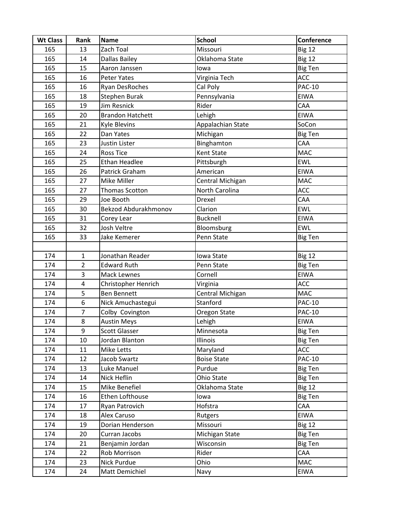| <b>Wt Class</b> | Rank                    | <b>Name</b>                 | <b>School</b>      | Conference     |
|-----------------|-------------------------|-----------------------------|--------------------|----------------|
| 165             | 13                      | Zach Toal                   | Missouri           | <b>Big 12</b>  |
| 165             | 14                      | Dallas Bailey               | Oklahoma State     | <b>Big 12</b>  |
| 165             | 15                      | Aaron Janssen               | lowa               | <b>Big Ten</b> |
| 165             | 16                      | <b>Peter Yates</b>          | Virginia Tech      | ACC            |
| 165             | 16                      | Ryan DesRoches              | Cal Poly           | <b>PAC-10</b>  |
| 165             | 18                      | Stephen Burak               | Pennsylvania       | <b>EIWA</b>    |
| 165             | 19                      | Jim Resnick                 | Rider              | <b>CAA</b>     |
| 165             | 20                      | <b>Brandon Hatchett</b>     | Lehigh             | <b>EIWA</b>    |
| 165             | 21                      | <b>Kyle Blevins</b>         | Appalachian State  | SoCon          |
| 165             | 22                      | Dan Yates                   | Michigan           | <b>Big Ten</b> |
| 165             | 23                      | Justin Lister               | Binghamton         | CAA            |
| 165             | 24                      | <b>Ross Tice</b>            | Kent State         | <b>MAC</b>     |
| 165             | 25                      | <b>Ethan Headlee</b>        | Pittsburgh         | <b>EWL</b>     |
| 165             | 26                      | Patrick Graham              | American           | <b>EIWA</b>    |
| 165             | 27                      | Mike Miller                 | Central Michigan   | <b>MAC</b>     |
| 165             | 27                      | Thomas Scotton              | North Carolina     | ACC            |
| 165             | 29                      | Joe Booth                   | Drexel             | CAA            |
| 165             | 30                      | <b>Bekzod Abdurakhmonov</b> | Clarion            | <b>EWL</b>     |
| 165             | 31                      | Corey Lear                  | <b>Bucknell</b>    | <b>EIWA</b>    |
| 165             | 32                      | Josh Veltre                 | Bloomsburg         | <b>EWL</b>     |
| 165             | 33                      | Jake Kemerer                | Penn State         | Big Ten        |
|                 |                         |                             |                    |                |
| 174             | $\mathbf{1}$            | Jonathan Reader             | Iowa State         | <b>Big 12</b>  |
| 174             | $\overline{2}$          | <b>Edward Ruth</b>          | Penn State         | <b>Big Ten</b> |
| 174             | 3                       | Mack Lewnes                 | Cornell            | <b>EIWA</b>    |
| 174             | $\overline{\mathbf{4}}$ | Christopher Henrich         | Virginia           | ACC            |
| 174             | 5                       | <b>Ben Bennett</b>          | Central Michigan   | <b>MAC</b>     |
| 174             | 6                       | Nick Amuchastegui           | Stanford           | <b>PAC-10</b>  |
| 174             | $\overline{7}$          | Colby Covington             | Oregon State       | <b>PAC-10</b>  |
| 174             | 8                       | <b>Austin Meys</b>          | Lehigh             | <b>EIWA</b>    |
| 174             | 9                       | <b>Scott Glasser</b>        | Minnesota          | <b>Big Ten</b> |
| 174             | 10                      | Jordan Blanton              | Illinois           | <b>Big Ten</b> |
| 174             | 11                      | Mike Letts                  | Maryland           | ACC            |
| 174             | 12                      | Jacob Swartz                | <b>Boise State</b> | <b>PAC-10</b>  |
| 174             | 13                      | Luke Manuel                 | Purdue             | <b>Big Ten</b> |
| 174             | 14                      | Nick Heflin                 | Ohio State         | <b>Big Ten</b> |
| 174             | 15                      | Mike Benefiel               | Oklahoma State     | <b>Big 12</b>  |
| 174             | 16                      | Ethen Lofthouse             | lowa               | <b>Big Ten</b> |
| 174             | 17                      | Ryan Patrovich              | Hofstra            | CAA            |
| 174             | 18                      | Alex Caruso                 | Rutgers            | EIWA           |
| 174             | 19                      | Dorian Henderson            | Missouri           | <b>Big 12</b>  |
| 174             | 20                      | Curran Jacobs               | Michigan State     | <b>Big Ten</b> |
| 174             | 21                      | Benjamin Jordan             | Wisconsin          | <b>Big Ten</b> |
| 174             | 22                      | <b>Rob Morrison</b>         | Rider              | CAA            |
| 174             | 23                      | Nick Purdue                 | Ohio               | MAC            |
| 174             | 24                      | Matt Demichiel              | Navy               | <b>EIWA</b>    |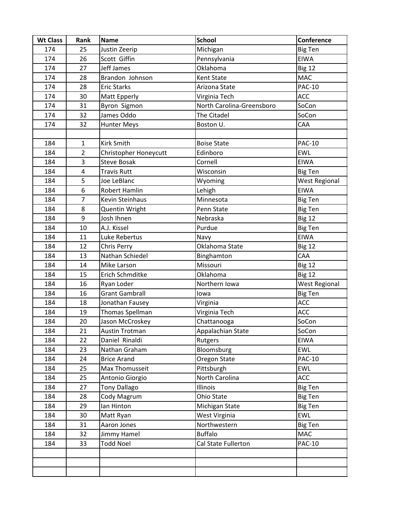| <b>Wt Class</b> | Rank           | <b>Name</b>           | <b>School</b>             | Conference           |
|-----------------|----------------|-----------------------|---------------------------|----------------------|
| 174             | 25             | Justin Zeerip         | Michigan                  | <b>Big Ten</b>       |
| 174             | 26             | Scott Giffin          | Pennsylvania              | <b>EIWA</b>          |
| 174             | 27             | Jeff James            | Oklahoma                  | <b>Big 12</b>        |
| 174             | 28             | Brandon Johnson       | Kent State                | <b>MAC</b>           |
| 174             | 28             | <b>Eric Starks</b>    | Arizona State             | <b>PAC-10</b>        |
| 174             | 30             | Matt Epperly          | Virginia Tech             | ACC                  |
| 174             | 31             | Byron Sigmon          | North Carolina-Greensboro | SoCon                |
| 174             | 32             | James Oddo            | The Citadel               | SoCon                |
| 174             | 32             | <b>Hunter Meys</b>    | Boston U.                 | CAA                  |
|                 |                |                       |                           |                      |
| 184             | $\mathbf{1}$   | <b>Kirk Smith</b>     | <b>Boise State</b>        | <b>PAC-10</b>        |
| 184             | $\overline{2}$ | Christopher Honeycutt | Edinboro                  | <b>EWL</b>           |
| 184             | 3              | <b>Steve Bosak</b>    | Cornell                   | EIWA                 |
| 184             | 4              | <b>Travis Rutt</b>    | Wisconsin                 | <b>Big Ten</b>       |
| 184             | 5              | Joe LeBlanc           | Wyoming                   | <b>West Regional</b> |
| 184             | 6              | Robert Hamlin         | Lehigh                    | <b>EIWA</b>          |
| 184             | $\overline{7}$ | Kevin Steinhaus       | Minnesota                 | <b>Big Ten</b>       |
| 184             | 8              | Quentin Wright        | Penn State                | <b>Big Ten</b>       |
| 184             | 9              | Josh Ihnen            | Nebraska                  | <b>Big 12</b>        |
| 184             | 10             | A.J. Kissel           | Purdue                    | <b>Big Ten</b>       |
| 184             | 11             | Luke Rebertus         | Navy                      | <b>EIWA</b>          |
| 184             | 12             | Chris Perry           | Oklahoma State            | <b>Big 12</b>        |
| 184             | 13             | Nathan Schiedel       | Binghamton                | CAA                  |
| 184             | 14             | Mike Larson           | Missouri                  | Big 12               |
| 184             | 15             | Erich Schmditke       | Oklahoma                  | Big 12               |
| 184             | 16             | Ryan Loder            | Northern Iowa             | <b>West Regional</b> |
| 184             | 16             | <b>Grant Gambrall</b> | lowa                      | <b>Big Ten</b>       |
| 184             | 18             | Jonathan Fausey       | Virginia                  | ACC                  |
| 184             | 19             | Thomas Spellman       | Virginia Tech             | <b>ACC</b>           |
| 184             | 20             | Jason McCroskey       | Chattanooga               | SoCon                |
| 184             | 21             | Austin Trotman        | Appalachian State         | SoCon                |
| 184             | 22             | Daniel Rinaldi        | Rutgers                   | <b>EIWA</b>          |
| 184             | 23             | Nathan Graham         | Bloomsburg                | <b>EWL</b>           |
| 184             | 24             | <b>Brice Arand</b>    | Oregon State              | <b>PAC-10</b>        |
| 184             | 25             | Max Thomusseit        | Pittsburgh                | <b>EWL</b>           |
| 184             | 25             | Antonio Giorgio       | North Carolina            | ACC                  |
| 184             | 27             | <b>Tony Dallago</b>   | Illinois                  | <b>Big Ten</b>       |
| 184             | 28             | Cody Magrum           | Ohio State                | <b>Big Ten</b>       |
| 184             | 29             | lan Hinton            | Michigan State            | <b>Big Ten</b>       |
| 184             | 30             | Matt Ryan             | West Virginia             | <b>EWL</b>           |
| 184             | 31             | Aaron Jones           | Northwestern              | <b>Big Ten</b>       |
| 184             | 32             | Jimmy Hamel           | <b>Buffalo</b>            | <b>MAC</b>           |
| 184             | 33             | <b>Todd Noel</b>      | Cal State Fullerton       | <b>PAC-10</b>        |
|                 |                |                       |                           |                      |
|                 |                |                       |                           |                      |
|                 |                |                       |                           |                      |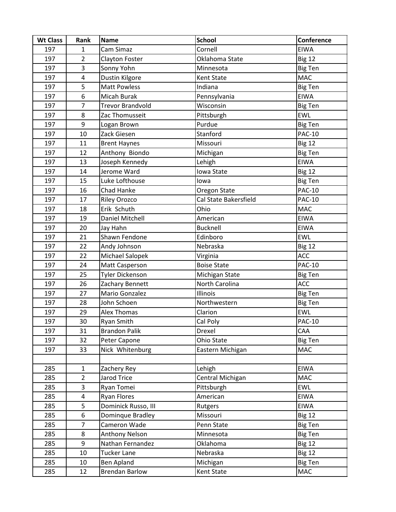| <b>Wt Class</b> | Rank                    | <b>Name</b>             | <b>School</b>         | Conference     |
|-----------------|-------------------------|-------------------------|-----------------------|----------------|
| 197             | $\mathbf{1}$            | Cam Simaz               | Cornell               | <b>EIWA</b>    |
| 197             | $\overline{2}$          | Clayton Foster          | Oklahoma State        | <b>Big 12</b>  |
| 197             | 3                       | Sonny Yohn              | Minnesota             | <b>Big Ten</b> |
| 197             | $\overline{\mathbf{4}}$ | Dustin Kilgore          | Kent State            | <b>MAC</b>     |
| 197             | 5                       | <b>Matt Powless</b>     | Indiana               | <b>Big Ten</b> |
| 197             | 6                       | Micah Burak             | Pennsylvania          | <b>EIWA</b>    |
| 197             | $\overline{7}$          | <b>Trevor Brandvold</b> | Wisconsin             | <b>Big Ten</b> |
| 197             | 8                       | Zac Thomusseit          | Pittsburgh            | EWL            |
| 197             | 9                       | Logan Brown             | Purdue                | <b>Big Ten</b> |
| 197             | 10                      | Zack Giesen             | Stanford              | <b>PAC-10</b>  |
| 197             | 11                      | <b>Brent Haynes</b>     | Missouri              | <b>Big 12</b>  |
| 197             | 12                      | Anthony Biondo          | Michigan              | <b>Big Ten</b> |
| 197             | 13                      | Joseph Kennedy          | Lehigh                | <b>EIWA</b>    |
| 197             | 14                      | Jerome Ward             | Iowa State            | <b>Big 12</b>  |
| 197             | 15                      | Luke Lofthouse          | lowa                  | <b>Big Ten</b> |
| 197             | 16                      | Chad Hanke              | Oregon State          | <b>PAC-10</b>  |
| 197             | 17                      | <b>Riley Orozco</b>     | Cal State Bakersfield | <b>PAC-10</b>  |
| 197             | 18                      | Erik Schuth             | Ohio                  | MAC            |
| 197             | 19                      | Daniel Mitchell         | American              | <b>EIWA</b>    |
| 197             | 20                      | Jay Hahn                | <b>Bucknell</b>       | <b>EIWA</b>    |
| 197             | 21                      | Shawn Fendone           | Edinboro              | <b>EWL</b>     |
| 197             | 22                      | Andy Johnson            | Nebraska              | <b>Big 12</b>  |
| 197             | 22                      | Michael Salopek         | Virginia              | ACC            |
| 197             | 24                      | Matt Casperson          | <b>Boise State</b>    | <b>PAC-10</b>  |
| 197             | 25                      | <b>Tyler Dickenson</b>  | Michigan State        | <b>Big Ten</b> |
| 197             | 26                      | Zachary Bennett         | North Carolina        | <b>ACC</b>     |
| 197             | 27                      | Mario Gonzalez          | Illinois              | <b>Big Ten</b> |
| 197             | 28                      | John Schoen             | Northwestern          | <b>Big Ten</b> |
| 197             | 29                      | <b>Alex Thomas</b>      | Clarion               | <b>EWL</b>     |
| 197             | 30                      | Ryan Smith              | Cal Poly              | <b>PAC-10</b>  |
| 197             | 31                      | <b>Brandon Palik</b>    | Drexel                | CAA            |
| 197             | 32                      | Peter Capone            | Ohio State            | <b>Big Ten</b> |
| 197             | 33                      | Nick Whitenburg         | Eastern Michigan      | MAC            |
|                 |                         |                         |                       |                |
| 285             | $\mathbf{1}$            | Zachery Rey             | Lehigh                | <b>EIWA</b>    |
| 285             | $\overline{2}$          | Jarod Trice             | Central Michigan      | <b>MAC</b>     |
| 285             | 3                       | Ryan Tomei              | Pittsburgh            | <b>EWL</b>     |
| 285             | $\overline{a}$          | <b>Ryan Flores</b>      | American              | <b>EIWA</b>    |
| 285             | 5                       | Dominick Russo, III     | Rutgers               | <b>EIWA</b>    |
| 285             | 6                       | Dominque Bradley        | Missouri              | Big 12         |
| 285             | $\overline{7}$          | Cameron Wade            | Penn State            | <b>Big Ten</b> |
| 285             | 8                       | Anthony Nelson          | Minnesota             | <b>Big Ten</b> |
| 285             | 9                       | Nathan Fernandez        | <b>Oklahoma</b>       | <b>Big 12</b>  |
| 285             | 10                      | <b>Tucker Lane</b>      | Nebraska              | <b>Big 12</b>  |
| 285             | 10                      | Ben Apland              | Michigan              | <b>Big Ten</b> |
| 285             | 12                      | <b>Brendan Barlow</b>   | Kent State            | <b>MAC</b>     |